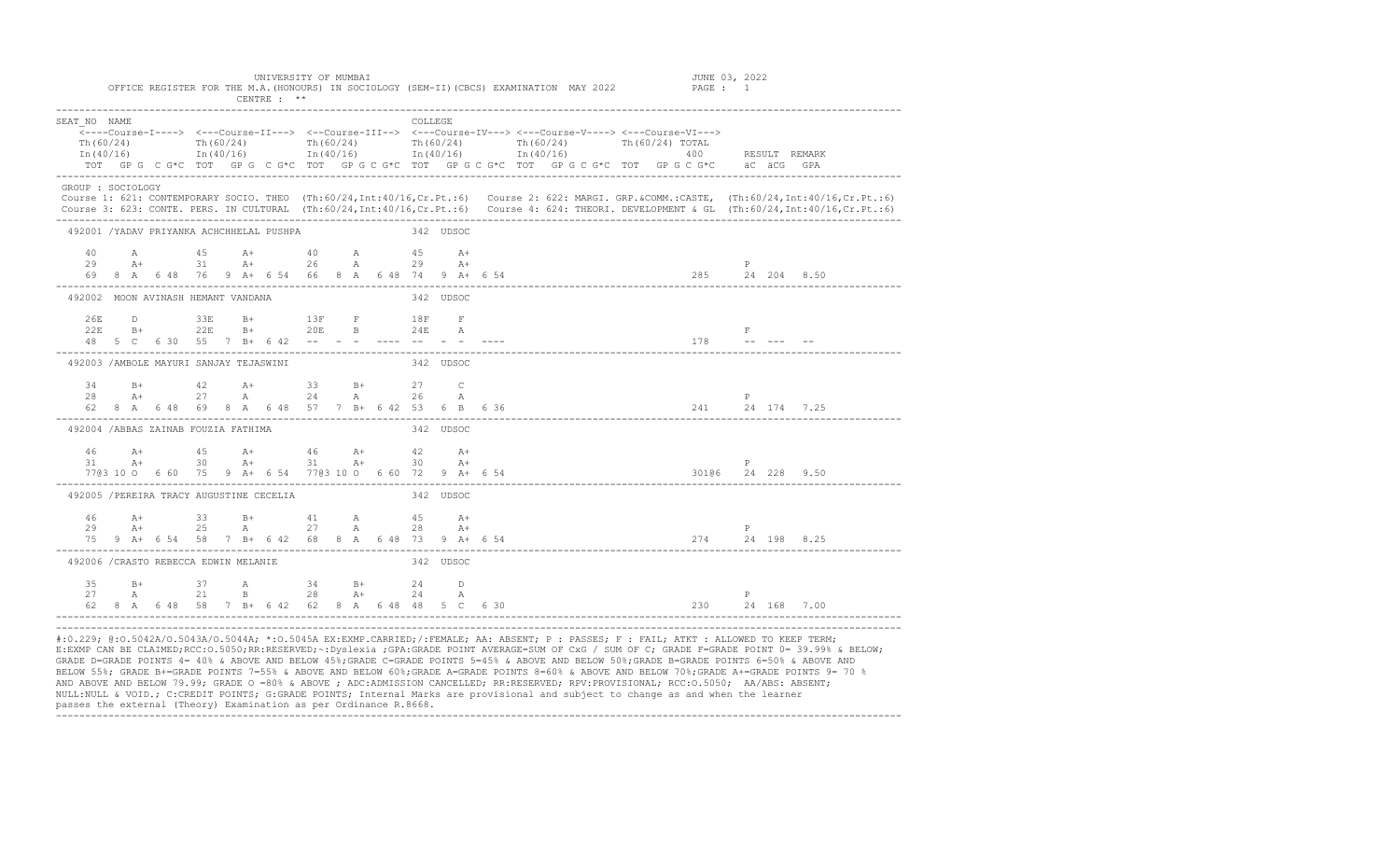|                                         |  |           |  | CENTRE $:$ **                                                                                                                                                                                                                             |  |           |           |      | OFFICE ABGIOIEN FON INE M.A.(NONOON) IN JOCIOBOGI (JEM-II)(CDCJ) BANMINAIION -MAI 2022                                                                                                                                                                                                                  |
|-----------------------------------------|--|-----------|--|-------------------------------------------------------------------------------------------------------------------------------------------------------------------------------------------------------------------------------------------|--|-----------|-----------|------|---------------------------------------------------------------------------------------------------------------------------------------------------------------------------------------------------------------------------------------------------------------------------------------------------------|
| SEAT NO NAME<br>Th(60/24)               |  |           |  |                                                                                                                                                                                                                                           |  |           | COLLEGE   |      | Th(60/24) Th(60/24) Th(60/24) Th(60/24) Th(60/24) Th(60/24) Th(60/24)<br>In (40/16) 1n (40/16) 1n (40/16) 1n (40/16) 1n (40/16) 1n (40/16) 1n (40/16) 1n (40/16) 1n (40/16)<br>TOT GPG C G*C TOT GPG C G*C TOT GPG C G*C TOT GPG C G*C TOT GPG C G*C TOT GPG C G*C aC aCG GPA                           |
| GROUP : SOCIOLOGY                       |  |           |  |                                                                                                                                                                                                                                           |  |           |           |      | Course 1: 621: CONTEMPORARY SOCIO. THEO (Th:60/24, Int:40/16, Cr. Pt.:6) Course 2: 622: MARGI. GRP. &COMM.:CASTE, (Th:60/24, Int:40/16, Cr. Pt.:6)<br>Course 3: 623: CONTE. PERS. IN CULTURAL (Th:60/24, Int:40/16, Cr. Pt.:6) Course 4: 624: THEORI. DEVELOPMENT & GL (Th:60/24, Int:40/16, Cr. Pt.:6) |
|                                         |  |           |  | 492001 /YADAV PRIYANKA ACHCHHELAL PUSHPA                                                                                                                                                                                                  |  | 342 UDSOC |           |      |                                                                                                                                                                                                                                                                                                         |
|                                         |  |           |  | $40$ A $45$ A+ $40$ A $45$ A+<br>29 A+ 31 A+ 26 A 29 A+                                                                                                                                                                                   |  |           |           |      |                                                                                                                                                                                                                                                                                                         |
| 492002 MOON AVINASH HEMANT VANDANA      |  |           |  |                                                                                                                                                                                                                                           |  |           | 342 UDSOC |      |                                                                                                                                                                                                                                                                                                         |
| 2.6E                                    |  |           |  | D 33E B+ 13F F                                                                                                                                                                                                                            |  |           | $18F$ F   |      | $\mathbf{F}$ . $\Box$<br>$178$ -- --- --                                                                                                                                                                                                                                                                |
| 492003 / AMBOLE MAYURI SANJAY TEJASWINI |  |           |  |                                                                                                                                                                                                                                           |  |           | 342 UDSOC |      |                                                                                                                                                                                                                                                                                                         |
|                                         |  |           |  | 34 B+ 42 A+ 33 B+ 27 C<br>$28$ $\lambda$ + 27 $\lambda$ 24 $\lambda$ 26 $\lambda$                                                                                                                                                         |  |           |           |      | $\mathbb{P}$<br>62 8 A 6 48 69 8 A 6 48 57 7 B + 6 42 53 6 B 6 36<br>241 24 174 7.25                                                                                                                                                                                                                    |
| 492004 /ABBAS ZAINAB FOUZIA FATHIMA     |  |           |  |                                                                                                                                                                                                                                           |  |           | 342 UDSOC |      |                                                                                                                                                                                                                                                                                                         |
|                                         |  |           |  | $\begin{array}{cccccccccccccc} 46 & & {\text{A+}} & & & 45 & & {\text{A+}} & & & 46 & & {\text{A+}} & & & 42 & & {\text{A+}} \\ 31 & & {\text{A+}} & & & 30 & & {\text{A+}} & & 31 & & {\text{A+}} & & 30 & & {\text{A+}} \\ \end{array}$ |  |           |           | $A+$ | P                                                                                                                                                                                                                                                                                                       |
|                                         |  |           |  | 492005 / PEREIRA TRACY AUGUSTINE CECELIA                                                                                                                                                                                                  |  |           | 342 UDSOC |      |                                                                                                                                                                                                                                                                                                         |
|                                         |  | $29$ $A+$ |  | $46$ $A+$ 33 $B+$ 41 $A$ 45 $A+$<br>25 A 27 A 28                                                                                                                                                                                          |  |           |           | $A+$ | P<br>75 9 A+ 6 54 58 7 B+ 6 42 68 8 A 6 48 73 9 A+ 6 54<br>274 24 198 8.25                                                                                                                                                                                                                              |
| 492006 / CRASTO REBECCA EDWIN MELANIE   |  |           |  |                                                                                                                                                                                                                                           |  |           | 342 UDSOC |      |                                                                                                                                                                                                                                                                                                         |
| 35<br>27                                |  |           |  | B+ 37 A 34 B+ 24 D<br>A 21 B 28 A+ 24                                                                                                                                                                                                     |  |           |           | A    | P<br>62 8 A 6 48 58 7 B+ 6 42 62 8 A 6 48 48 5 C 6 30<br>230 24 168 7.00                                                                                                                                                                                                                                |

#:0.229; @:O.5042A/O.5043A/O.5044A; \*:O.5045A EX:EXMP.CARRIED;/:FEMALE; AA: ABSENT; P : PASSES; F : FAIL; ATKT : ALLOWED TO KEEP TERM; E:EXMP CAN BE CLAIMED;RCC:O.5050;RR:RESERVED;~:Dyslexia ;GPA:GRADE POINT AVERAGE=SUM OF CxG / SUM OF C; GRADE F=GRADE POINT 0= 39.99% & BELOW; GRADE D=GRADE POINTS 4= 40% & ABOVE AND BELOW 45%;GRADE C=GRADE POINTS 5=45% & ABOVE AND BELOW 50%;GRADE B=GRADE POINTS 6=50% & ABOVE AND BELOW 55%; GRADE B+=GRADE POINTS 7=55% & ABOVE AND BELOW 60%;GRADE A=GRADE POINTS 8=60% & ABOVE AND BELOW 70%;GRADE A+=GRADE POINTS 9= 70 % AND ABOVE AND BELOW 79.99; GRADE O =80% & ABOVE ; ADC:ADMISSION CANCELLED; RR:RESERVED; RPV:PROVISIONAL; RCC:O.5050; AA/ABS: ABSENT; NULL:NULL & VOID.; C:CREDIT POINTS; G:GRADE POINTS; Internal Marks are provisional and subject to change as and when the learner passes the external (Theory) Examination as per Ordinance R.8668. -------------------------------------------------------------------------------------------------------------------------------------------------

UNIVERSITY OF MUMBAI JUNE 03, 2022 OFFICE REGISTER FOR THE M.A.(HONOURS) IN SOCIOLOGY (SEM-II)(CBCS) EXAMINATION MAY 2022 PAGE : 1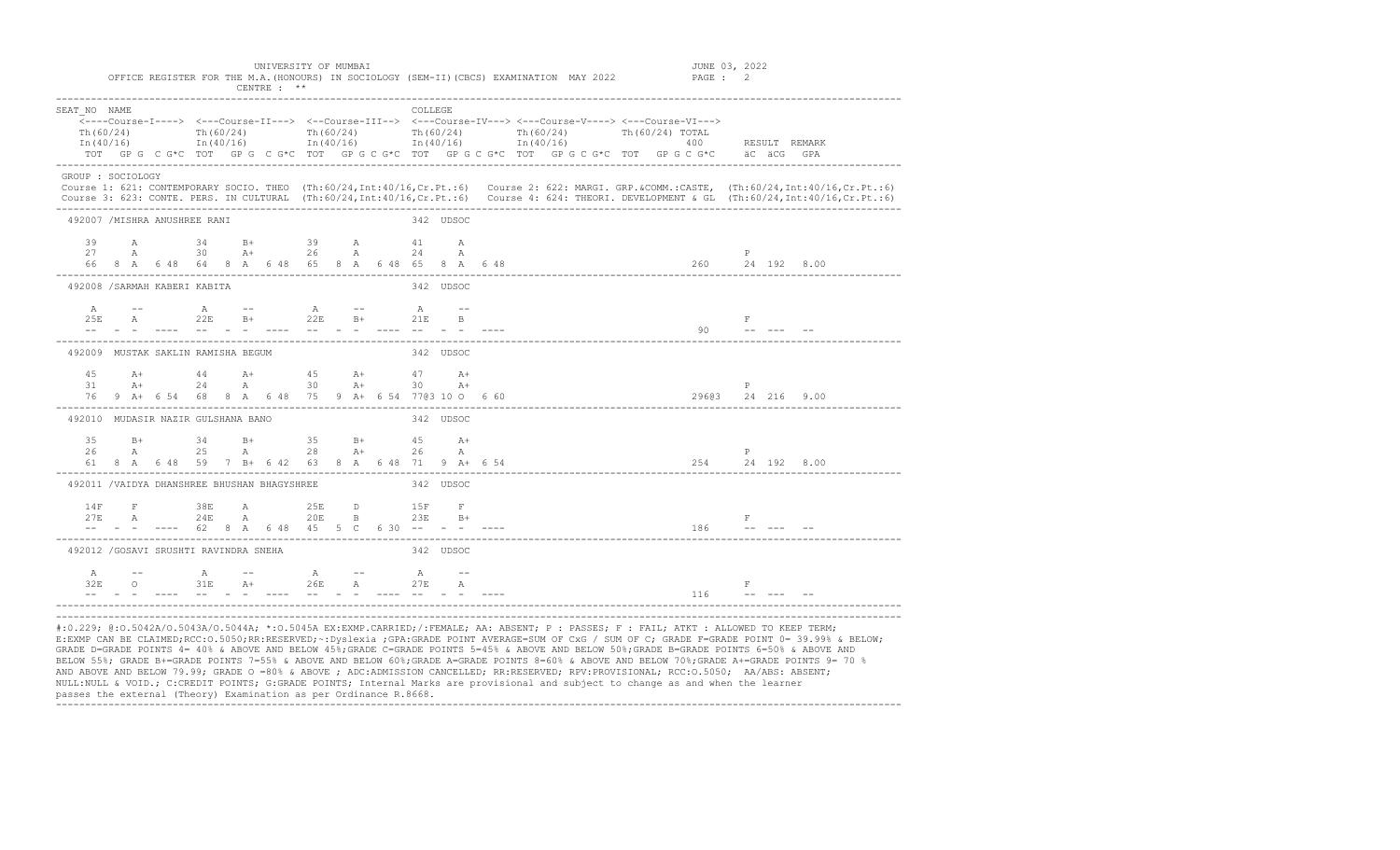| SEAT NO NAME<br>Th(60/24) | In (40/16) | Th $(60/24)$                                         |            |  | Th $(60/24)$                  |  | <b>COLLEGE</b> |                                 | <---Course-I----> <---Course-II---> <--Course-III--> <---Course-IV---> <---Course-V----> <---Course-VI---><br>Th $(60/24)$ Th $(60/24)$<br>$\text{In (40/16)}$ $\text{In (40/16)}$ $\text{In (40/16)}$ $\text{In (40/16)}$<br>TOT GP G C G*C TOT GP G C G*C TOT GP G C G*C TOT GP G C G*C TOT GP G C G*C TOT GP G C G*C äC äCG GPA | Th (60/24) TOTAL |  |                                                                                |       |                                 | 400 RESULT REMARK   |  |
|---------------------------|------------|------------------------------------------------------|------------|--|-------------------------------|--|----------------|---------------------------------|------------------------------------------------------------------------------------------------------------------------------------------------------------------------------------------------------------------------------------------------------------------------------------------------------------------------------------|------------------|--|--------------------------------------------------------------------------------|-------|---------------------------------|---------------------|--|
| GROUP : SOCIOLOGY         |            |                                                      |            |  |                               |  |                |                                 | Course 1: 621: CONTEMPORARY SOCIO. THEO (Th:60/24, Int:40/16, Cr. Pt.:6) Course 2: 622: MARGI. GRP. &COMM.:CASTE, (Th:60/24, Int:40/16, Cr. Pt.:6)<br>Course 3: 623: CONTE. PERS. IN CULTURAL (Th:60/24,Int:40/16,Cr.Pt.:6) Course 4: 624: THEORI. DEVELOPMENT & GL (Th:60/24,Int:40/16,Cr.Pt.:6)                                  |                  |  |                                                                                |       |                                 |                     |  |
|                           |            | 492007 /MISHRA ANUSHREE RANI                         |            |  |                               |  |                | 342 UDSOC                       |                                                                                                                                                                                                                                                                                                                                    |                  |  |                                                                                |       |                                 |                     |  |
|                           |            | 39 A 34 B+ 39 A 41 A<br>27 A 30 A+ 26 A 24 A         |            |  |                               |  |                |                                 | 66 8 A 6 48 64 8 A 6 48 65 8 A 6 48 65 8 A 6 48                                                                                                                                                                                                                                                                                    |                  |  |                                                                                | P     |                                 | $260$ $24$ 192 8.00 |  |
|                           |            | 492008 / SARMAH KABERI KABITA                        |            |  |                               |  |                | 342 UDSOC                       |                                                                                                                                                                                                                                                                                                                                    |                  |  |                                                                                |       |                                 |                     |  |
|                           |            | A -- A -- A -- A --                                  |            |  |                               |  |                |                                 |                                                                                                                                                                                                                                                                                                                                    |                  |  | $90 - - - - - - - - - -$                                                       |       | $\mathbf{F}$ , and $\mathbf{F}$ |                     |  |
|                           |            | 492009 MUSTAK SAKLIN RAMISHA BEGUM                   |            |  |                               |  |                | 342 UDSOC                       |                                                                                                                                                                                                                                                                                                                                    |                  |  |                                                                                |       |                                 |                     |  |
| 31                        |            | 45 A+ 44 A+ 45 A+ 47 A+<br>$A+$ 24 A 30 $A+$ 30 $A+$ |            |  |                               |  |                |                                 | 76 9 A+ 6 54 68 8 A 6 48 75 9 A+ 6 54 7703 10 O 6 60                                                                                                                                                                                                                                                                               |                  |  |                                                                                | P     |                                 | 29603 24 216 9.00   |  |
|                           |            | 492010 MUDASIR NAZIR GULSHANA BANO                   |            |  |                               |  |                | 342 UDSOC                       |                                                                                                                                                                                                                                                                                                                                    |                  |  |                                                                                |       |                                 |                     |  |
| 26                        |            | 35 B+ 34 B+ 35 B+ 45 A+<br>A                         | 25 A 28 A+ |  |                               |  | 26             | $\mathbb{A}$                    | 61 8 A 6 48 59 7 B+ 6 42 63 8 A 6 48 71 9 A+ 6 54                                                                                                                                                                                                                                                                                  |                  |  |                                                                                | P     |                                 | 254 24 192 8.00     |  |
|                           |            | 492011 /VAIDYA DHANSHREE BHUSHAN BHAGYSHREE          |            |  |                               |  |                | 342 UDSOC                       |                                                                                                                                                                                                                                                                                                                                    |                  |  |                                                                                |       |                                 |                     |  |
| 14F                       |            |                                                      |            |  |                               |  |                |                                 | 14F F 38E A 25E D 15F F<br>27E A 24E A 20E B 23E B+<br>-- - ---- 62 8 A 6 48 45 5 C 6 30 -- - - ----                                                                                                                                                                                                                               |                  |  | $\mathbb F$ . The set of $\mathbb F$ is the set of $\mathbb F$<br>$186$ $   -$ |       |                                 |                     |  |
|                           |            | 492012 / GOSAVI SRUSHTI RAVINDRA SNEHA               |            |  |                               |  |                | 342 UDSOC                       |                                                                                                                                                                                                                                                                                                                                    |                  |  |                                                                                |       |                                 |                     |  |
| A<br>32F                  |            |                                                      |            |  | and the state of the state of |  |                | <u> 2222 - 223 - 234 - 2222</u> |                                                                                                                                                                                                                                                                                                                                    |                  |  | 116                                                                            | $-$ F |                                 |                     |  |

#:0.229; @:0.5042A/0.5043A/0.5044A; \*:0.5045A EX:EXMP.CARRIED;/:FEMALE; AA: ABSENT; P : PASSES; F : FAIL; ATKT : ALLOWED TO KEEP TERM;<br>E:EXMP CAN BE CLAIMED;RCC:0.5050;RR:RESERVED;~:Dyslexia ;GPA:GRADE POINT AVERAGE=SUM OF GRADE D=GRADE POINTS 4= 40% & ABOVE AND BELOW 45%;GRADE C=GRADE POINTS 5=45% & ABOVE AND BELOW 50%;GRADE B=GRADE POINTS 6=50% & ABOVE AND BELOW 55%; GRADE B+=GRADE POINTS 7=55% & ABOVE AND BELOW 60%;GRADE A=GRADE POINTS 8=60% & ABOVE AND BELOW 70%;GRADE A+=GRADE POINTS 9= 70 % AND ABOVE AND BELOW 79.99; GRADE O =80% & ABOVE ; ADC:ADMISSION CANCELLED; RR:RESERVED; RPV:PROVISIONAL; RCC:O.5050; AA/ABS: ABSENT; NULL:NULL & VOID.; C:CREDIT POINTS; G:GRADE POINTS; Internal Marks are provisional and subject to change as and when the learner passes the external (Theory) Examination as per Ordinance R.8668. -------------------------------------------------------------------------------------------------------------------------------------------------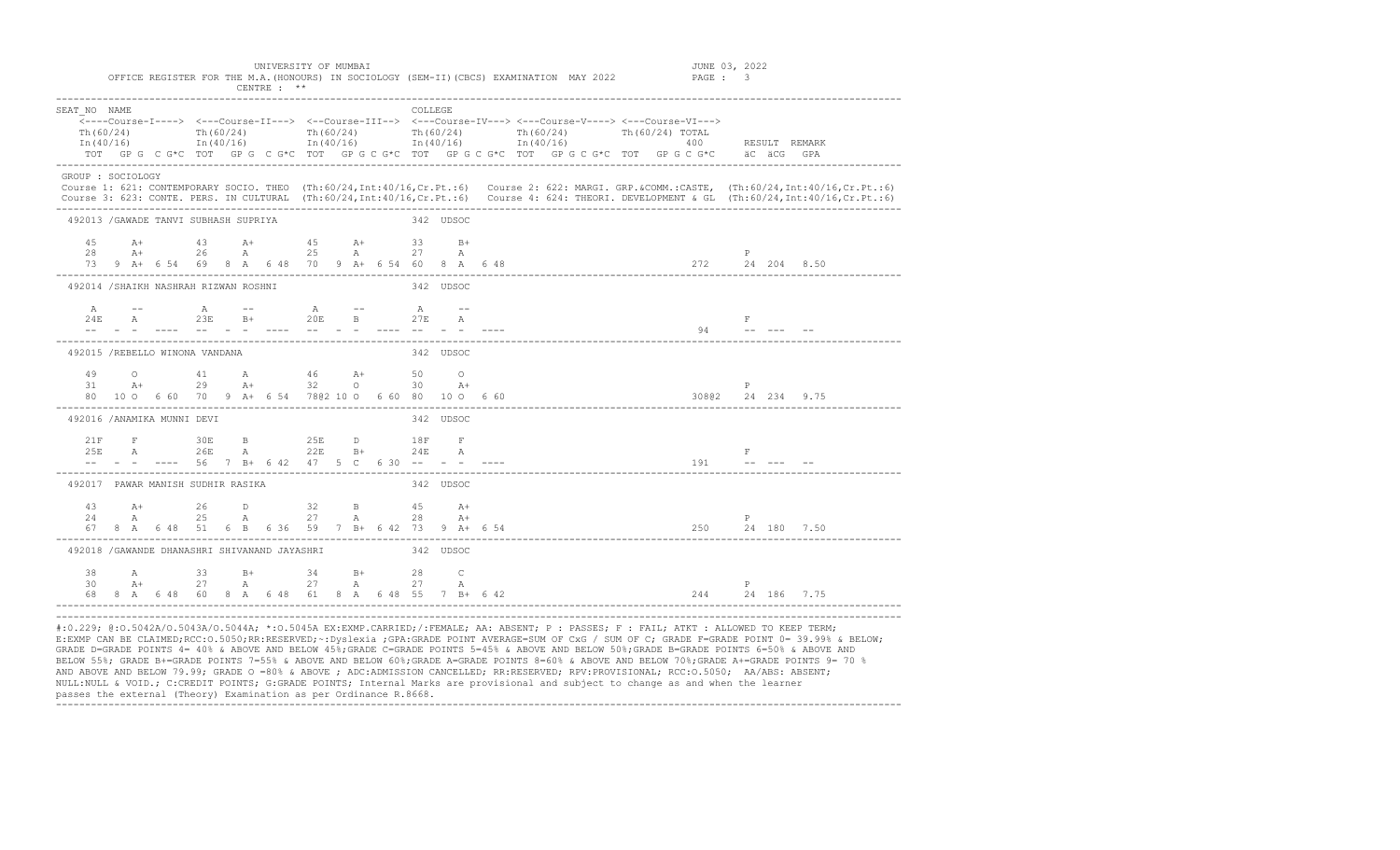| SEAT NO NAME<br>Th(60/24) |  | Th $(60/24)$ Th $(60/24)$                              |  |  |  |  | <b>COLLEGE</b> |           | Th $(60/24)$ Th $(60/24)$ Th $(60/24)$ TOTAL<br>$In (40/16)$ $In (40/16)$ $In (40/16)$ $In (40/16)$ $In (40/16)$ $In (40/16)$ $In (40/16)$ $In (40/16)$<br>TOT GPG C G*C TOT GPG C G*C TOT GPG C G*C TOT GPG C G*C TOT GPG C G*C TOT GPG C G*C aC aCG GPA |  |  |                                                                   |             |                                                                                                                                                   |                                                                                                                                                                                                                                                                                                       |
|---------------------------|--|--------------------------------------------------------|--|--|--|--|----------------|-----------|-----------------------------------------------------------------------------------------------------------------------------------------------------------------------------------------------------------------------------------------------------------|--|--|-------------------------------------------------------------------|-------------|---------------------------------------------------------------------------------------------------------------------------------------------------|-------------------------------------------------------------------------------------------------------------------------------------------------------------------------------------------------------------------------------------------------------------------------------------------------------|
|                           |  |                                                        |  |  |  |  |                |           |                                                                                                                                                                                                                                                           |  |  |                                                                   |             |                                                                                                                                                   |                                                                                                                                                                                                                                                                                                       |
| GROUP : SOCIOLOGY         |  |                                                        |  |  |  |  |                |           |                                                                                                                                                                                                                                                           |  |  |                                                                   |             |                                                                                                                                                   | Course 1: 621: CONTEMPORARY SOCIO. THEO (Th:60/24, Int:40/16, Cr.Pt.:6) Course 2: 622: MARGI. GRP. &COMM.:CASTE, (Th:60/24, Int:40/16, Cr.Pt.:6)<br>Course 3: 623: CONTE. PERS. IN CULTURAL (Th:60/24, Int:40/16, Cr. Pt.:6) Course 4: 624: THEORI. DEVELOPMENT & GL (Th:60/24, Int:40/16, Cr. Pt.:6) |
|                           |  | 492013 / GAWADE TANVI SUBHASH SUPRIYA                  |  |  |  |  |                | 342 UDSOC |                                                                                                                                                                                                                                                           |  |  |                                                                   |             |                                                                                                                                                   |                                                                                                                                                                                                                                                                                                       |
|                           |  | 45 A+ 43 A+ 45 A+ 33 B+                                |  |  |  |  |                |           |                                                                                                                                                                                                                                                           |  |  |                                                                   |             | $28$ a $26$ a $25$ a $27$ a $27$ a $27$ a $27$ a $24$ $204$ $8.50$<br>$73$ 9 a+ 6 54 69 8 a 6 48 70 9 a+ 6 54 60 8 a 6 48 $272$ $24$ $204$ $8.50$ |                                                                                                                                                                                                                                                                                                       |
|                           |  | 492014 /SHAIKH NASHRAH RIZWAN ROSHNI                   |  |  |  |  |                | 342 UDSOC |                                                                                                                                                                                                                                                           |  |  |                                                                   |             |                                                                                                                                                   |                                                                                                                                                                                                                                                                                                       |
|                           |  | A -- A -- A -- A --                                    |  |  |  |  |                |           |                                                                                                                                                                                                                                                           |  |  | $94$ = $   -$                                                     |             |                                                                                                                                                   |                                                                                                                                                                                                                                                                                                       |
|                           |  | 492015 /REBELLO WINONA VANDANA                         |  |  |  |  |                | 342 UDSOC |                                                                                                                                                                                                                                                           |  |  |                                                                   |             |                                                                                                                                                   |                                                                                                                                                                                                                                                                                                       |
|                           |  | 49 O 41 A 46 A+ 50 O                                   |  |  |  |  |                |           |                                                                                                                                                                                                                                                           |  |  |                                                                   |             |                                                                                                                                                   |                                                                                                                                                                                                                                                                                                       |
|                           |  | 492016 /ANAMIKA MUNNI DEVI                             |  |  |  |  |                | 342 UDSOC |                                                                                                                                                                                                                                                           |  |  |                                                                   |             |                                                                                                                                                   |                                                                                                                                                                                                                                                                                                       |
|                           |  | 21 F 30 E 25 B 25 B 18 F                               |  |  |  |  |                |           |                                                                                                                                                                                                                                                           |  |  | $\begin{array}{ccc}\n & F \\ 191 & - - & - - & - - \n\end{array}$ |             |                                                                                                                                                   |                                                                                                                                                                                                                                                                                                       |
|                           |  | 492017 PAWAR MANISH SUDHIR RASIKA                      |  |  |  |  |                | 342 UDSOC |                                                                                                                                                                                                                                                           |  |  |                                                                   |             |                                                                                                                                                   |                                                                                                                                                                                                                                                                                                       |
|                           |  | 43 A+ 26 D 32 B 45 A+                                  |  |  |  |  |                |           |                                                                                                                                                                                                                                                           |  |  |                                                                   | $\mathbb P$ | $24$ A $25$ A $27$ A $28$ A+<br>67 8 A 6 48 51 6 B 6 36 59 7 B+ 6 42 73 9 A+ 6 54                                                                 |                                                                                                                                                                                                                                                                                                       |
|                           |  | 492018 / GAWANDE DHANASHRI SHIVANAND JAYASHRI          |  |  |  |  |                | 342 UDSOC |                                                                                                                                                                                                                                                           |  |  |                                                                   |             |                                                                                                                                                   |                                                                                                                                                                                                                                                                                                       |
|                           |  | 38 A 33 B+ 34 B+ 28 C<br>$30 \t\t\t A+$ 27 A 27 A 27 A |  |  |  |  |                |           |                                                                                                                                                                                                                                                           |  |  |                                                                   |             |                                                                                                                                                   |                                                                                                                                                                                                                                                                                                       |

E:EXMP CAN BE CLAIMED;RCC:O.5050;RR:RESERVED;~:Dyslexia ;GPA:GRADE POINT AVERAGE=SUM OF CxG / SUM OF C; GRADE F=GRADE POINT 0= 39.99% & BELOW; GRADE D=GRADE POINTS 4= 40% & ABOVE AND BELOW 45%;GRADE C=GRADE POINTS 5=45% & ABOVE AND BELOW 50%;GRADE B=GRADE POINTS 6=50% & ABOVE AND BELOW 55%; GRADE B+=GRADE POINTS 7=55% & ABOVE AND BELOW 60%;GRADE A=GRADE POINTS 8=60% & ABOVE AND BELOW 70%;GRADE A+=GRADE POINTS 9= 70 % AND ABOVE AND BELOW 79.99; GRADE O =80% & ABOVE ; ADC:ADMISSION CANCELLED; RR:RESERVED; RPV:PROVISIONAL; RCC:O.5050; AA/ABS: ABSENT; NULL:NULL & VOID.; C:CREDIT POINTS; G:GRADE POINTS; Internal Marks are provisional and subject to change as and when the learner passes the external (Theory) Examination as per Ordinance R.8668. -------------------------------------------------------------------------------------------------------------------------------------------------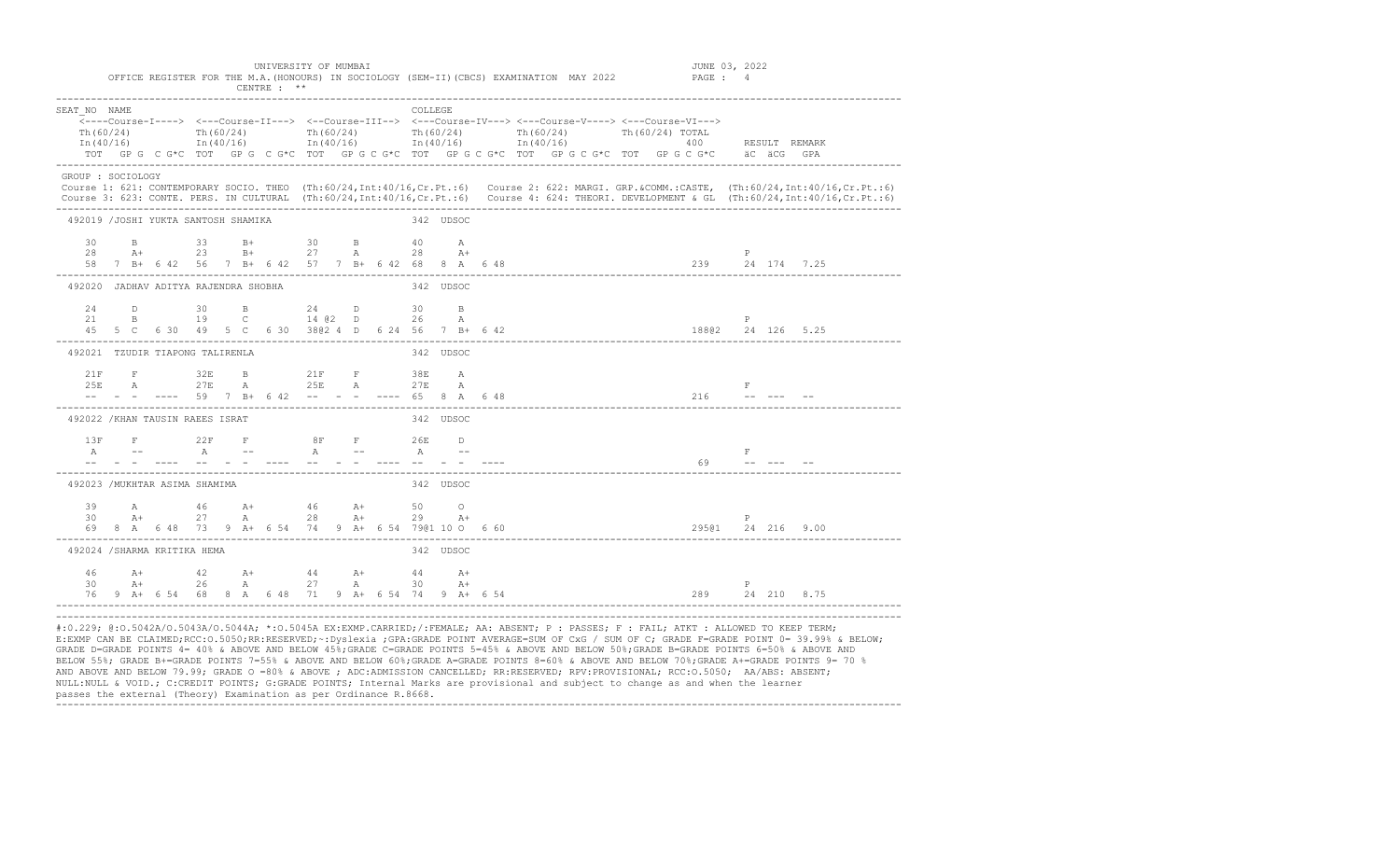|                                      | SEAT NO NAME<br><---Course-I----> <---Course-II---> <--Course-III--> <---Course-IV---> <---Course-V----> <---Course-VI---><br>Th(60/24) Th(60/24) Th(60/24) Th(60/24) Th(60/24) Th(60/24) Th(60/24)<br>Th(60/24)<br>In (40/16) 1n (40/16) 1n (40/16) 1n (40/16) 1n (40/16) 1n (40/16) 1n (40/16) 1n (40/16) 1n (40/16) |  |  |  |  |  |  |                                                                                                                                                       |  | <b>COLLEGE</b> |   |  |  |  |  |                                                                                         |   |             |                                                                                                                                                                                                                                                                                                         |
|--------------------------------------|------------------------------------------------------------------------------------------------------------------------------------------------------------------------------------------------------------------------------------------------------------------------------------------------------------------------|--|--|--|--|--|--|-------------------------------------------------------------------------------------------------------------------------------------------------------|--|----------------|---|--|--|--|--|-----------------------------------------------------------------------------------------|---|-------------|---------------------------------------------------------------------------------------------------------------------------------------------------------------------------------------------------------------------------------------------------------------------------------------------------------|
|                                      |                                                                                                                                                                                                                                                                                                                        |  |  |  |  |  |  |                                                                                                                                                       |  |                |   |  |  |  |  | TOT GPG CG*C TOT GPG CG*C TOT GPG CG*C TOT GPG CG*C TOT GPG CG*C TOT GPG CG*C aCGCG GPA |   |             |                                                                                                                                                                                                                                                                                                         |
| GROUP : SOCIOLOGY                    |                                                                                                                                                                                                                                                                                                                        |  |  |  |  |  |  |                                                                                                                                                       |  |                |   |  |  |  |  |                                                                                         |   |             |                                                                                                                                                                                                                                                                                                         |
|                                      |                                                                                                                                                                                                                                                                                                                        |  |  |  |  |  |  |                                                                                                                                                       |  |                |   |  |  |  |  |                                                                                         |   |             | Course 1: 621: CONTEMPORARY SOCIO. THEO (Th:60/24, Int:40/16, Cr. Pt.:6) Course 2: 622: MARGI. GRP. &COMM.:CASTE, (Th:60/24, Int:40/16, Cr. Pt.:6)<br>Course 3: 623: CONTE. PERS. IN CULTURAL (Th:60/24, Int:40/16, Cr. Pt.:6) Course 4: 624: THEORI. DEVELOPMENT & GL (Th:60/24, Int:40/16, Cr. Pt.:6) |
| 492019 / JOSHI YUKTA SANTOSH SHAMIKA |                                                                                                                                                                                                                                                                                                                        |  |  |  |  |  |  |                                                                                                                                                       |  | 342 UDSOC      |   |  |  |  |  |                                                                                         |   |             |                                                                                                                                                                                                                                                                                                         |
|                                      |                                                                                                                                                                                                                                                                                                                        |  |  |  |  |  |  | $28$ $24$ $33$ $B+$ $30$ $B$ $40$ $A$<br>$28$ $A+$ $23$ $B+$ $27$ $A$ $28$ $A+$                                                                       |  |                |   |  |  |  |  |                                                                                         | P |             |                                                                                                                                                                                                                                                                                                         |
| 492020 JADHAV ADITYA RAJENDRA SHOBHA |                                                                                                                                                                                                                                                                                                                        |  |  |  |  |  |  |                                                                                                                                                       |  | 342 UDSOC      |   |  |  |  |  |                                                                                         |   |             |                                                                                                                                                                                                                                                                                                         |
|                                      |                                                                                                                                                                                                                                                                                                                        |  |  |  |  |  |  | 24 D 30 B 24 D 30 B<br>21 B 19 C 14 @2 D 26                                                                                                           |  |                | A |  |  |  |  | 45 5 C 6 30 49 5 C 6 30 3802 4 D 6 24 56 7 B + 6 42                                     |   |             |                                                                                                                                                                                                                                                                                                         |
| 492021 TZUDIR TIAPONG TALIRENLA      |                                                                                                                                                                                                                                                                                                                        |  |  |  |  |  |  |                                                                                                                                                       |  | 342 UDSOC      |   |  |  |  |  |                                                                                         |   |             |                                                                                                                                                                                                                                                                                                         |
|                                      |                                                                                                                                                                                                                                                                                                                        |  |  |  |  |  |  | $21F$ F $32E$ B $21F$ F $38E$ A<br>25E A 27E A 25E A 27E A<br>-- - - ---- 59 7 B+ 6 42 -- - - ---- 65 8 A 6 48                                        |  |                |   |  |  |  |  | $216$ -----                                                                             |   | $F$ and $F$ |                                                                                                                                                                                                                                                                                                         |
| 492022 / KHAN TAUSIN RAEES ISRAT     |                                                                                                                                                                                                                                                                                                                        |  |  |  |  |  |  |                                                                                                                                                       |  | 342 UDSOC      |   |  |  |  |  |                                                                                         |   |             |                                                                                                                                                                                                                                                                                                         |
| 1.3F                                 |                                                                                                                                                                                                                                                                                                                        |  |  |  |  |  |  | F 22 F 8 F 26 D<br>A -- A -- A -- A -- A --                                                                                                           |  |                |   |  |  |  |  | $69$ -- --- --                                                                          | F |             |                                                                                                                                                                                                                                                                                                         |
| 492023 / MUKHTAR ASIMA SHAMIMA       |                                                                                                                                                                                                                                                                                                                        |  |  |  |  |  |  |                                                                                                                                                       |  | 342 UDSOC      |   |  |  |  |  |                                                                                         |   |             |                                                                                                                                                                                                                                                                                                         |
|                                      |                                                                                                                                                                                                                                                                                                                        |  |  |  |  |  |  | $39$ A $46$ A+ $46$ A+ $50$ O<br>30 A+ 27 A 28 A+ 29 A+<br>69 8 A 6 48 73 9 A + 6 54 74 9 A + 6 54 7901 10 0 6 60                                     |  |                |   |  |  |  |  | 29501 24 216 9.00                                                                       | P |             |                                                                                                                                                                                                                                                                                                         |
| 492024 / SHARMA KRITIKA HEMA         |                                                                                                                                                                                                                                                                                                                        |  |  |  |  |  |  |                                                                                                                                                       |  | 342 UDSOC      |   |  |  |  |  |                                                                                         |   |             |                                                                                                                                                                                                                                                                                                         |
|                                      |                                                                                                                                                                                                                                                                                                                        |  |  |  |  |  |  | $\begin{array}{ccccccccccc}\n46 & & A+ & & 42 & & A+ & & 44 & & A+ & & 44 & & A+ \\ 30 & & A+ & & 26 & & A & & 27 & & A & & 30 & & A+ \\ \end{array}$ |  |                |   |  |  |  |  | 76 9 A+ 6 54 68 8 A 6 48 71 9 A+ 6 54 74 9 A+ 6 54                                      | P |             |                                                                                                                                                                                                                                                                                                         |

#:0.229; @:O.5042A/O.5043A/O.5044A; \*:O.5045A EX:EXMP.CARRIED;/:FEMALE; AA: ABSENT; P : PASSES; F : FAIL; ATKT : ALLOWED TO KEEP TERM; E:EXMP CAN BE CLAIMED;RCC:O.5050;RR:RESERVED;~:Dyslexia ;GPA:GRADE POINT AVERAGE=SUM OF CxG / SUM OF C; GRADE F=GRADE POINT 0= 39.99% & BELOW; GRADE D=GRADE POINTS 4= 40% & ABOVE AND BELOW 45%;GRADE C=GRADE POINTS 5=45% & ABOVE AND BELOW 50%;GRADE B=GRADE POINTS 6=50% & ABOVE AND BELOW 55%; GRADE B+=GRADE POINTS 7=55% & ABOVE AND BELOW 60%;GRADE A=GRADE POINTS 8=60% & ABOVE AND BELOW 70%;GRADE A+=GRADE POINTS 9= 70 % AND ABOVE AND BELOW 79.99; GRADE O =80% & ABOVE ; ADC:ADMISSION CANCELLED; RR:RESERVED; RPV:PROVISIONAL; RCC:O.5050; AA/ABS: ABSENT; NULL:NULL & VOID.; C:CREDIT POINTS; G:GRADE POINTS; Internal Marks are provisional and subject to change as and when the learner passes the external (Theory) Examination as per Ordinance R.8668. -------------------------------------------------------------------------------------------------------------------------------------------------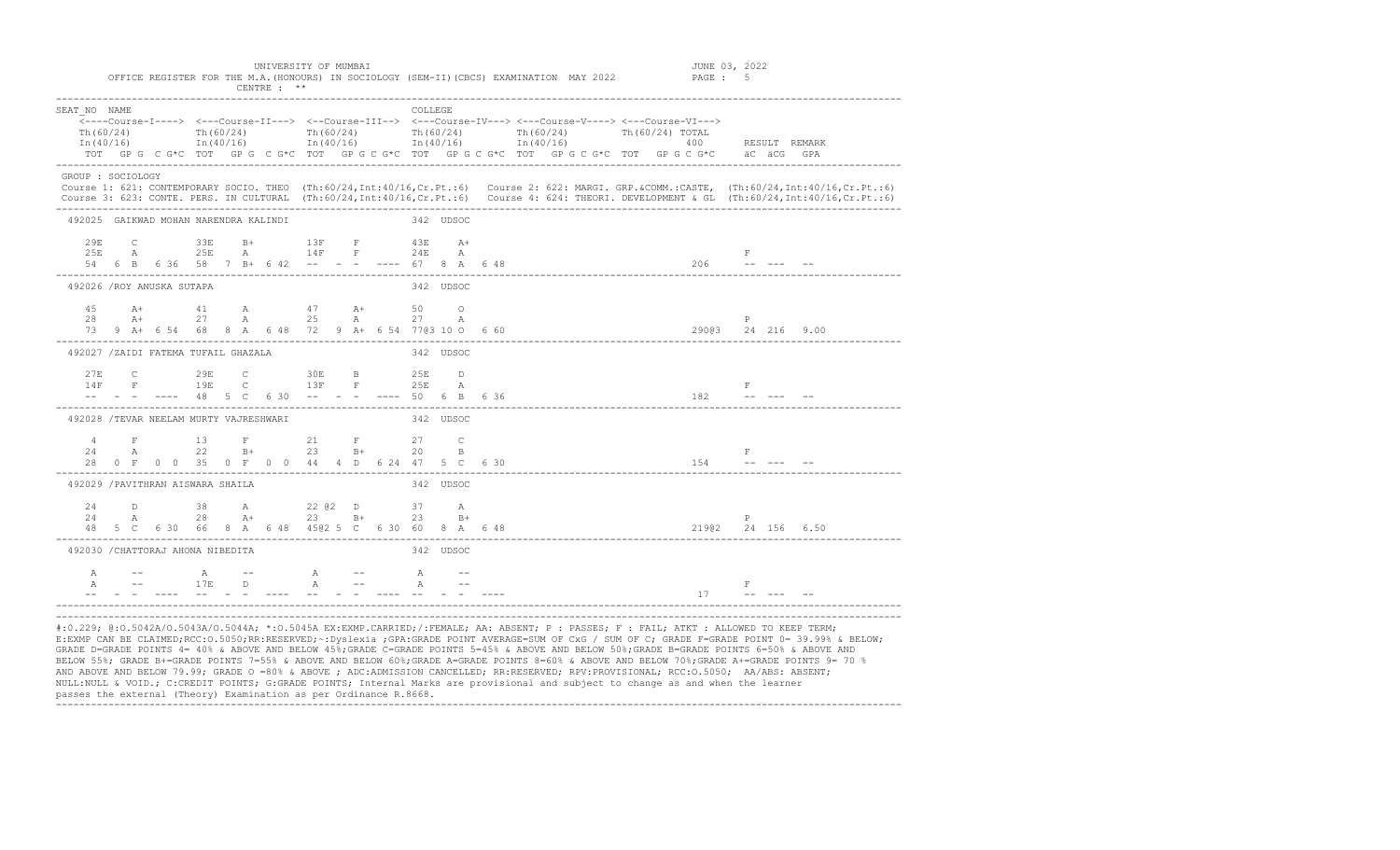| SEAT NO NAME                           |  |  |  |  | $\overline{\left\langle \text{---Course-I---} \right\rangle \quad \left\langle \text{---Course-II---} \right\rangle \quad \left\langle \text{---Course-III---} \right\rangle \quad \left\langle \text{---Course-IV---} \right\rangle \quad \left\langle \text{---Course-V---} \right\rangle \quad \left\langle \text{---Course-V---} \right\rangle \quad \left\langle \text{---Course-V---} \right\rangle$<br>$\ln(60/24)$ Th $(60/24)$ Th $(60/24)$ Th $(60/24)$ Th $(60/24)$ Th $(60/24)$ Th $(60/24)$ Th $(60/24)$ Th $(60/24)$ Th $(60/24)$ Th $(60/24)$ Th $(60/24)$ Th $(60/24)$ Th $(60/24)$ Th $(60/24)$ Th $(60/24)$ Th $(60/24)$ Th $(60/24)$ Th $(6$<br>TOT GP G C G*C TOT GP G C G*C TOT GP G C G*C TOT GP G C G*C TOT GP G C G*C TOT GP G C G*C aC aCG GPA |  | COLLEGE   |  |  |  |  |  |              |       |  |                                                                                                                                                                                                                                                                                                         |  |
|----------------------------------------|--|--|--|--|-------------------------------------------------------------------------------------------------------------------------------------------------------------------------------------------------------------------------------------------------------------------------------------------------------------------------------------------------------------------------------------------------------------------------------------------------------------------------------------------------------------------------------------------------------------------------------------------------------------------------------------------------------------------------------------------------------------------------------------------------------------------------|--|-----------|--|--|--|--|--|--------------|-------|--|---------------------------------------------------------------------------------------------------------------------------------------------------------------------------------------------------------------------------------------------------------------------------------------------------------|--|
| GROUP : SOCIOLOGY                      |  |  |  |  |                                                                                                                                                                                                                                                                                                                                                                                                                                                                                                                                                                                                                                                                                                                                                                         |  |           |  |  |  |  |  |              |       |  | Course 1: 621: CONTEMPORARY SOCIO. THEO (Th:60/24, Int:40/16, Cr. Pt.:6) Course 2: 622: MARGI. GRP. &COMM.:CASTE, (Th:60/24, Int:40/16, Cr. Pt.:6)<br>Course 3: 623: CONTE. PERS. IN CULTURAL (Th:60/24, Int:40/16, Cr. Pt.:6) Course 4: 624: THEORI. DEVELOPMENT & GL (Th:60/24, Int:40/16, Cr. Pt.:6) |  |
| 492025 GAIKWAD MOHAN NARENDRA KALINDI  |  |  |  |  |                                                                                                                                                                                                                                                                                                                                                                                                                                                                                                                                                                                                                                                                                                                                                                         |  | 342 UDSOC |  |  |  |  |  |              |       |  |                                                                                                                                                                                                                                                                                                         |  |
|                                        |  |  |  |  | $29E$ C $33E$ B+ $13F$ F $43E$ A+                                                                                                                                                                                                                                                                                                                                                                                                                                                                                                                                                                                                                                                                                                                                       |  |           |  |  |  |  |  |              |       |  | — словенное принципедия и принципедии в детстви и принципедия в принципедии в детстви в детстви в детстви в де<br>— 54 б в б 36 58 7 в+ б 42 –– – – ––– 67 8 д б 48 д принцепции принцепции доб –– –– ––<br>———————————————————————                                                                     |  |
| 492026 /ROY ANUSKA SUTAPA              |  |  |  |  |                                                                                                                                                                                                                                                                                                                                                                                                                                                                                                                                                                                                                                                                                                                                                                         |  | 342 UDSOC |  |  |  |  |  |              |       |  |                                                                                                                                                                                                                                                                                                         |  |
|                                        |  |  |  |  | 45 A+ 41 A 47 A+ 50 O<br>$28$ $A+$ $27$ $A$ $25$ $A$ $27$ $A$                                                                                                                                                                                                                                                                                                                                                                                                                                                                                                                                                                                                                                                                                                           |  |           |  |  |  |  |  |              |       |  |                                                                                                                                                                                                                                                                                                         |  |
| 492027 /ZAIDI FATEMA TUFAIL GHAZALA    |  |  |  |  |                                                                                                                                                                                                                                                                                                                                                                                                                                                                                                                                                                                                                                                                                                                                                                         |  | 342 UDSOC |  |  |  |  |  |              |       |  |                                                                                                                                                                                                                                                                                                         |  |
|                                        |  |  |  |  | -- - - ---- 48 5 C 6 30 -- - - ---- 50 6 B 6 36                                                                                                                                                                                                                                                                                                                                                                                                                                                                                                                                                                                                                                                                                                                         |  |           |  |  |  |  |  |              | $- F$ |  |                                                                                                                                                                                                                                                                                                         |  |
| 492028 /TEVAR NEELAM MURTY VAJRESHWARI |  |  |  |  |                                                                                                                                                                                                                                                                                                                                                                                                                                                                                                                                                                                                                                                                                                                                                                         |  | 342 UDSOC |  |  |  |  |  |              |       |  |                                                                                                                                                                                                                                                                                                         |  |
|                                        |  |  |  |  | $\begin{array}{ccccccccccc} 4 & & F & & 13 & & F & & 21 & & F & & 27 & & C \\ 24 & & A & & 22 & & B+ & & 23 & & B+ & & 20 & & B \end{array}$                                                                                                                                                                                                                                                                                                                                                                                                                                                                                                                                                                                                                            |  |           |  |  |  |  |  |              | $-$ F |  |                                                                                                                                                                                                                                                                                                         |  |
| 492029 / PAVITHRAN AISWARA SHAILA      |  |  |  |  |                                                                                                                                                                                                                                                                                                                                                                                                                                                                                                                                                                                                                                                                                                                                                                         |  | 342 UDSOC |  |  |  |  |  |              |       |  |                                                                                                                                                                                                                                                                                                         |  |
|                                        |  |  |  |  | $24$ D 38 A $22 \& 2$ D 37 A<br>24 A 28 A+ 23 B+ 23 B+                                                                                                                                                                                                                                                                                                                                                                                                                                                                                                                                                                                                                                                                                                                  |  |           |  |  |  |  |  | $\mathbb{P}$ |       |  |                                                                                                                                                                                                                                                                                                         |  |
| 492030 / CHATTORAJ AHONA NIBEDITA      |  |  |  |  |                                                                                                                                                                                                                                                                                                                                                                                                                                                                                                                                                                                                                                                                                                                                                                         |  | 342 UDSOC |  |  |  |  |  |              |       |  |                                                                                                                                                                                                                                                                                                         |  |
|                                        |  |  |  |  | $A$ $- A$ $- A$ $- A$                                                                                                                                                                                                                                                                                                                                                                                                                                                                                                                                                                                                                                                                                                                                                   |  |           |  |  |  |  |  |              |       |  | $\begin{array}{ccc}\n & F \\ 17 & - - & - - & - - \\ \end{array}$                                                                                                                                                                                                                                       |  |

BELOW 55%; GRADE B+=GRADE POINTS 7=55% & ABOVE AND BELOW 60%;GRADE A=GRADE POINTS 8=60% & ABOVE AND BELOW 70%;GRADE A+=GRADE POINTS 9= 70 % AND ABOVE AND BELOW 79.99; GRADE O =80% & ABOVE ; ADC:ADMISSION CANCELLED; RR:RESERVED; RPV:PROVISIONAL; RCC:O.5050; AA/ABS: ABSENT; NULL:NULL & VOID.; C:CREDIT POINTS; G:GRADE POINTS; Internal Marks are provisional and subject to change as and when the learner passes the external (Theory) Examination as per Ordinance R.8668. -------------------------------------------------------------------------------------------------------------------------------------------------